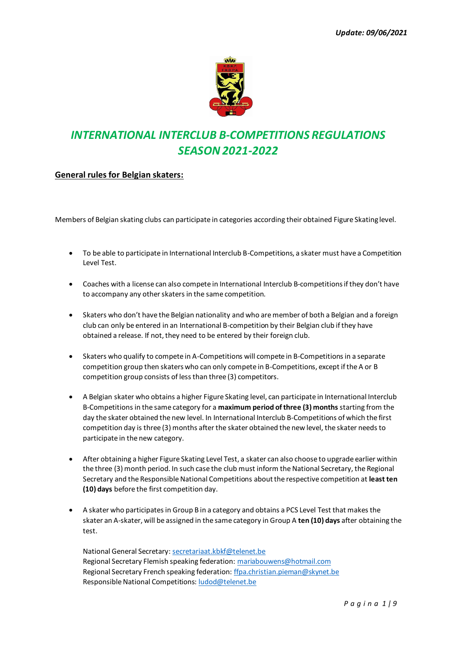

# *INTERNATIONAL INTERCLUB B-COMPETITIONS REGULATIONS SEASON 2021-2022*

### **General rules for Belgian skaters:**

Members of Belgian skating clubs can participate in categories according their obtained Figure Skating level.

- To be able to participate in International Interclub B-Competitions, a skater must have a Competition Level Test.
- Coaches with a license can also compete in International Interclub B-competitions if they don't have to accompany any other skaters in the same competition.
- Skaters who don't have the Belgian nationality and who are member of both a Belgian and a foreign club can only be entered in an International B-competition by their Belgian club if they have obtained a release. If not, they need to be entered by their foreign club.
- Skaters who qualify to compete in A-Competitions will compete in B-Competitions in a separate competition group then skaters who can only compete in B-Competitions, except if the A or B competition group consists of less than three (3) competitors.
- A Belgian skater who obtains a higher Figure Skating level, can participate in International Interclub B-Competitions in the same category for a **maximum period of three (3) months** starting from the day the skater obtained the new level. In International Interclub B-Competitions of which the first competition day is three (3) months after the skater obtained the new level, the skater needs to participate in the new category.
- After obtaining a higher Figure Skating Level Test, a skater can also choose to upgrade earlier within the three (3) month period. In such case the club must inform the National Secretary, the Regional Secretary and the Responsible National Competitions aboutthe respective competition at **least ten (10) days** before the first competition day.
- A skater who participates in Group B in a category and obtains a PCS Level Test that makes the skater an A-skater, will be assigned in the same category in Group A **ten (10) days** after obtaining the test.

National General Secretary[: secretariaat.kbkf@telenet.be](mailto:secretariaat.kbkf@telenet.be) Regional Secretary Flemish speaking federation[: mariabouwens@hotmail.com](mailto:mariabouwens@hotmail.com) Regional Secretary French speaking federation[: ffpa.christian.pieman@skynet.be](mailto:ffpa.christian.pieman@skynet.be) Responsible National Competitions[: ludod@telenet.be](mailto:ludod@telenet.be)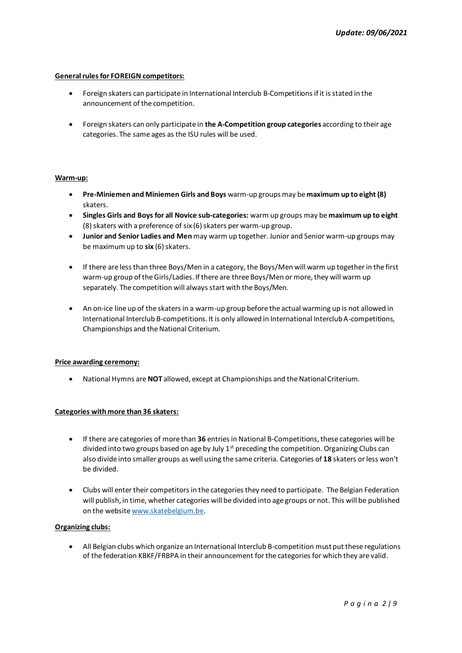#### **General rules for FOREIGN competitors:**

- Foreign skaters can participate in International Interclub B-Competitions if it is stated in the announcement of the competition.
- Foreign skaters can only participate in **the A-Competition group categories** according to their age categories. The same ages as the ISU rules will be used.

#### **Warm-up:**

- **Pre-Miniemen and Miniemen Girls and Boys** warm-up groups may be **maximum up to eight (8)** skaters.
- **Singles Girls and Boys for all Novice sub-categories:** warm up groups may be **maximum up to eight** (8)skaters with a preference of six (6) skaters per warm-up group.
- **Junior and Senior Ladies and Men** may warm up together. Junior and Senior warm-up groups may be maximum up to six (6) skaters.
- If there are less than three Boys/Men in a category, the Boys/Men will warm up together in the first warm-up group of the Girls/Ladies. If there are three Boys/Men or more, they will warm up separately. The competition will always start with the Boys/Men.
- An on-ice line up of the skaters in a warm-up group before the actual warming up is not allowed in International Interclub B-competitions. It is only allowed in International Interclub A-competitions, Championships and the National Criterium.

#### **Price awarding ceremony:**

• National Hymns are **NOT** allowed, except at Championships and the National Criterium.

#### **Categories with more than 36 skaters:**

- If there are categories of more than **36** entries in National B-Competitions, these categories will be divided into two groups based on age by July  $1<sup>st</sup>$  preceding the competition. Organizing Clubs can also divide into smaller groups as well using the same criteria. Categories of **18** skaters or less won't be divided.
- Clubs will enter their competitors in the categories they need to participate. The Belgian Federation will publish, in time, whether categories will be divided into age groups or not. This will be published on the websit[e www.skatebelgium.be.](http://www.skatebelgium.be/)

#### **Organizing clubs:**

• All Belgian clubs which organize an International Interclub B-competition must put these regulations of the federation KBKF/FRBPA in their announcement for the categories for which they are valid.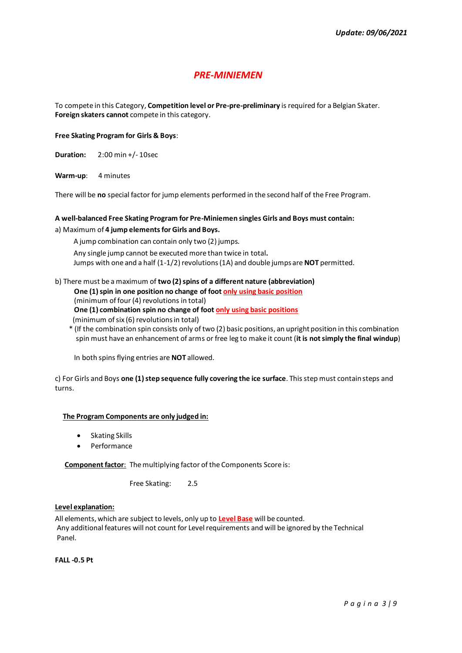### *PRE-MINIEMEN*

To compete in this Category, **Competition level or Pre-pre-preliminary** is required for a Belgian Skater. **Foreign skaters cannot** compete in this category.

#### **Free Skating Program for Girls & Boys**:

**Duration:** 2:00 min +/- 10sec

**Warm-up**: 4 minutes

There will be **no** special factor for jump elements performed in the second half of the Free Program.

#### **A well-balanced Free Skating Program for Pre-Miniemen singles Girls and Boys must contain:**

a) Maximum of **4 jump elements for Girls and Boys.**

A jump combination can contain only two (2) jumps.

 Any single jump cannot be executed more than twice in total**.** Jumps with one and a half (1-1/2) revolutions(1A) and double jumps are **NOT** permitted.

### b) There must be a maximum of **two (2)spins of a different nature (abbreviation) One (1)spin in one position no change of foot only using basic position**

(minimum of four (4) revolutions in total)

**One (1) combination spin no change of foot only using basic positions**

- (minimum of six (6) revolutions in total)
- \* (If the combination spin consists only of two (2) basic positions, an upright position in this combination spin must have an enhancement of arms or free leg to make it count (**it is not simply the final windup**)

In both spins flying entries are **NOT** allowed.

c) For Girls and Boys **one (1)step sequence fully covering the ice surface**. This step must contain steps and turns.

#### **The Program Components are only judged in:**

- Skating Skills
- Performance

**Component factor**: The multiplying factor of the Components Score is:

Free Skating: 2.5

#### **Level explanation:**

All elements, which are subject to levels, only up to **Level Base** will be counted. Any additional features will not count for Level requirements and will be ignored by the Technical Panel.

**FALL -0.5 Pt**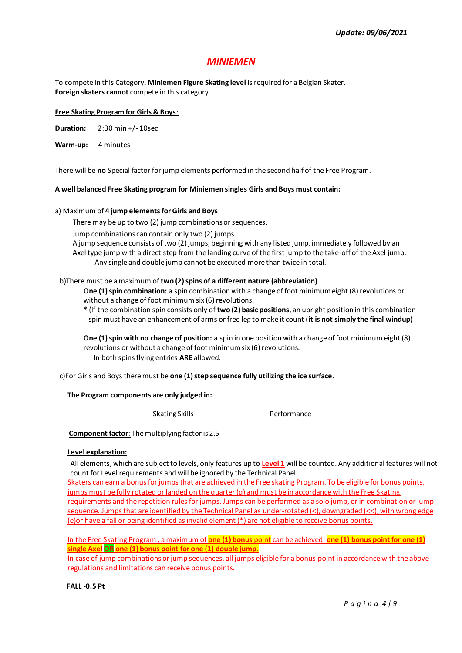# *MINIEMEN*

To compete in this Category, **Miniemen Figure Skating level** is required for a Belgian Skater. **Foreign skaters cannot** compete in this category.

#### **Free Skating Program for Girls & Boys**:

**Duration:** 2:30 min +/- 10sec

**Warm-up:** 4 minutes

There will be **no** Special factor for jump elements performed in the second half of the Free Program.

#### **A well balanced Free Skating program for Miniemen singles Girls and Boys must contain:**

#### a) Maximum of **4 jump elements for Girls and Boys**.

There may be up to two (2) jump combinations or sequences.

Jump combinations can contain only two (2) jumps.

 A jump sequence consists of two (2) jumps, beginning with any listed jump, immediately followed by an Axel type jump with a direct step from the landing curve of the first jump to the take-off of the Axel jump. Any single and double jump cannot be executed more than twice in total.

#### b)There must be a maximum of **two (2) spins of a different nature (abbreviation)**

**One (1) spin combination:** a spin combination with a change of foot minimum eight (8) revolutions or without a change of foot minimum six (6) revolutions.

\* (If the combination spin consists only of **two (2) basic positions**, an upright position in this combination spin must have an enhancement of arms or free leg to make it count (**it is not simply the final windup**)

**One (1) spin with no change of position:** a spin in one position with a change of foot minimum eight (8) revolutions or without a change of foot minimum six (6) revolutions. In both spins flying entries **ARE** allowed.

c)For Girls and Boys there must be **one (1) step sequence fully utilizing the ice surface**.

#### **The Program components are only judged in:**

#### Skating Skills **Performance**

**Component factor:** The multiplying factor is 2.5

#### **Level explanation:**

All elements, which are subject to levels, only features up to **Level 1** will be counted. Any additional features will not count for Level requirements and will be ignored by the Technical Panel.

Skaters can earn a bonus for jumps that are achieved in the Free skating Program. To be eligible for bonus points, jumps must be fully rotated or landed on the quarter (q) and must be in accordance with the Free Skating requirements and the repetition rules for jumps. Jumps can be performed as a solo jump, or in combination or jump sequence. Jumps that are identified by the Technical Panel as under-rotated (<), downgraded (<<), with wrong edge (e)or have a fall or being identified as invalid element (\*) are not eligible to receive bonus points.

In the Free Skating Program , a maximum of **one (1) bonus** point can be achieved: **one (1) bonus point for one (1) single Axel OR one (1) bonus point for one (1) double jump**.

In case of jump combinations or jump sequences, all jumps eligible for a bonus point in accordance with the above regulations and limitations can receive bonus points.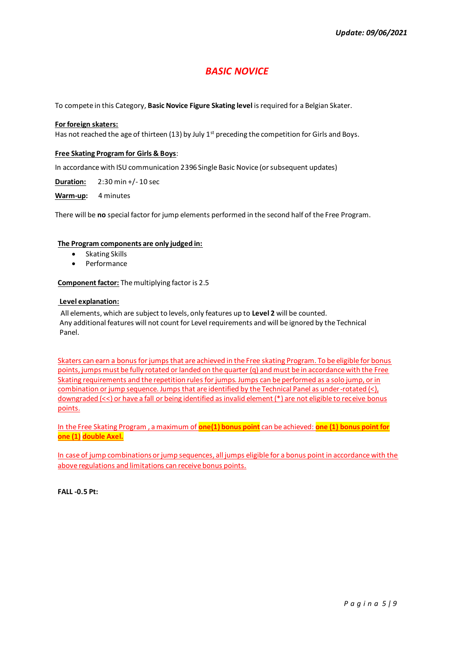# *BASIC NOVICE*

To compete in this Category, **Basic Novice Figure Skating level** is required for a Belgian Skater.

#### **For foreign skaters:**

Has not reached the age of thirteen (13) by July 1<sup>st</sup> preceding the competition for Girls and Boys.

#### **Free Skating Program for Girls & Boys**:

In accordance with ISU communication 2396 Single Basic Novice (or subsequent updates)

**Duration:** 2:30 min +/- 10 sec

**Warm-up:** 4 minutes

There will be **no** special factor for jump elements performed in the second half of the Free Program.

#### **The Program components are only judged in:**

- Skating Skills
- Performance

**Component factor:** The multiplying factor is 2.5

#### **Level explanation:**

All elements, which are subject to levels, only features up to **Level 2** will be counted. Any additional features will not count for Level requirements and will be ignored by the Technical Panel.

Skaters can earn a bonus for jumps that are achieved in the Free skating Program. To be eligible for bonus points, jumps must be fully rotated or landed on the quarter (q) and must be in accordance with the Free Skating requirements and the repetition rules for jumps. Jumps can be performed as a solo jump, or in combination or jump sequence. Jumps that are identified by the Technical Panel as under-rotated (<), downgraded (<<) or have a fall or being identified as invalid element (\*) are not eligible to receive bonus points.

In the Free Skating Program , a maximum of **one(1) bonus point** can be achieved: **one (1) bonus point for one (1) double Axel.**

In case of jump combinations or jump sequences, all jumps eligible for a bonus point in accordance with the above regulations and limitations can receive bonus points.

**FALL -0.5 Pt:**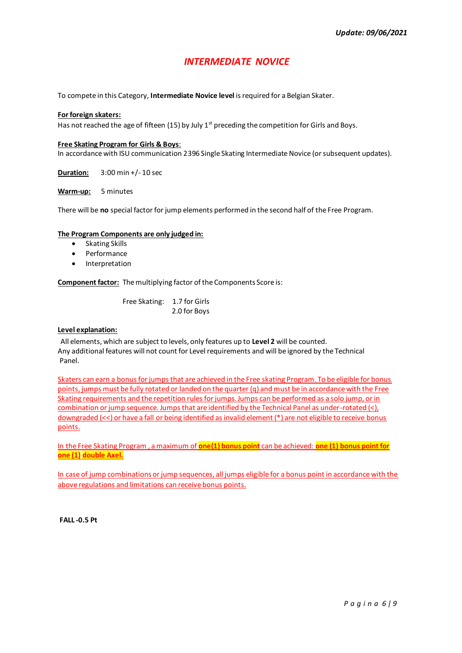# *INTERMEDIATE NOVICE*

To compete in this Category, **Intermediate Novice level** is required for a Belgian Skater.

#### **For foreign skaters:**

Has not reached the age of fifteen (15) by July  $1<sup>st</sup>$  preceding the competition for Girls and Boys.

#### **Free Skating Program for Girls & Boys**:

In accordance with ISU communication 2396 Single Skating Intermediate Novice (or subsequent updates).

**Duration:** 3:00 min +/- 10 sec

**Warm-up:** 5 minutes

There will be **no** special factor for jump elements performed in the second half of the Free Program.

#### **The Program Components are only judged in:**

- Skating Skills
- Performance
- **Interpretation**

**Component factor:** The multiplying factor of the Components Score is:

 Free Skating: 1.7 for Girls 2.0 for Boys

#### **Level explanation:**

All elements, which are subject to levels, only features up to **Level 2** will be counted. Any additional features will not count for Level requirements and will be ignored by the Technical Panel.

Skaters can earn a bonus for jumps that are achieved in the Free skating Program. To be eligible for bonus points, jumps must be fully rotated or landed on the quarter (q) and must be in accordance with the Free Skating requirements and the repetition rules for jumps. Jumps can be performed as a solo jump, or in combination or jump sequence. Jumps that are identified by the Technical Panel as under-rotated  $\langle \cdot \rangle$ , downgraded (<<) or have a fall or being identified as invalid element (\*) are not eligible to receive bonus points.

In the Free Skating Program , a maximum of **one(1) bonus point** can be achieved: **one (1) bonus point for one (1) double Axel.**

In case of jump combinations or jump sequences, all jumps eligible for a bonus point in accordance with the above regulations and limitations can receive bonus points.

**FALL -0.5 Pt**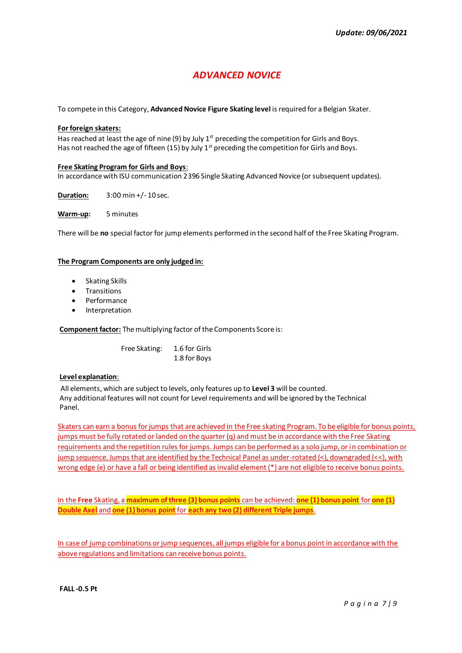# *ADVANCED NOVICE*

To compete in this Category, **Advanced Novice Figure Skating level** is required for a Belgian Skater.

#### **For foreign skaters:**

Has reached at least the age of nine (9) by July  $1^{st}$  preceding the competition for Girls and Boys. Has not reached the age of fifteen (15) by July  $1<sup>st</sup>$  preceding the competition for Girls and Boys.

#### **Free Skating Program for Girls and Boys**:

In accordance with ISU communication 2396 Single Skating Advanced Novice (or subsequent updates).

**Duration:** 3:00 min +/- 10 sec.

**Warm-up:** 5 minutes

There will be **no** special factor for jump elements performed in the second half of the Free Skating Program.

#### **The Program Components are only judged in:**

- Skating Skills
- **Transitions**
- **Performance**
- **Interpretation**

**Component factor:** The multiplying factor of the Components Score is:

 Free Skating: 1.6 for Girls 1.8 for Boys

#### **Level explanation**:

All elements, which are subject to levels, only features up to **Level 3** will be counted. Any additional features will not count for Level requirements and will be ignored by the Technical Panel.

Skaters can earn a bonus for jumps that are achieved in the Free skating Program. To be eligible for bonus points, jumps must be fully rotated or landed on the quarter (q) and must be in accordance with the Free Skating requirements and the repetition rules for jumps. Jumps can be performed as a solo jump, or in combination or jump sequence. Jumps that are identified by the Technical Panel as under-rotated (<), downgraded (<<), with wrong edge (e) or have a fall or being identified as invalid element (\*) are not eligible to receive bonus points.

In the **Free** Skating, a **maximum of three (3) bonus points** can be achieved: **one (1) bonus point** for **one (1) Double Axel** and **one (1) bonus point** for **each any two (2) different Triple jumps**.

In case of jump combinations or jump sequences, all jumps eligible for a bonus point in accordance with the above regulations and limitations can receive bonus points.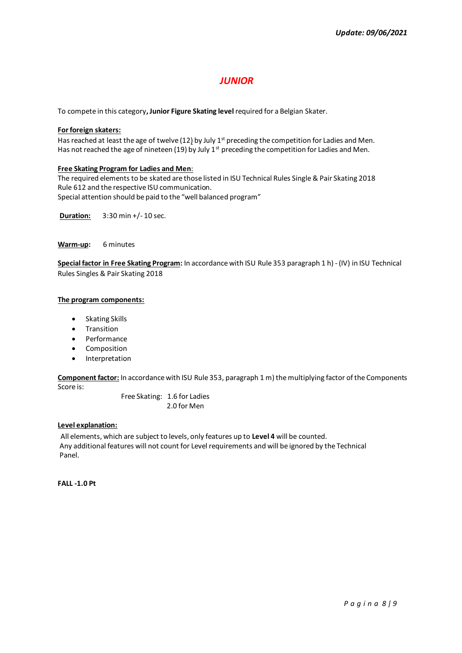### *JUNIOR*

To compete in this category**, Junior Figure Skating level**required for a Belgian Skater.

#### **For foreign skaters:**

Has reached at least the age of twelve (12) by July  $1<sup>st</sup>$  preceding the competition for Ladies and Men. Has not reached the age of nineteen (19) by July  $1<sup>st</sup>$  preceding the competition for Ladies and Men.

#### **Free Skating Program for Ladies and Men**:

The required elements to be skated are those listed in ISU Technical Rules Single & Pair Skating 2018 Rule 612 and the respective ISU communication. Special attention should be paid to the "well balanced program"

**Duration:** 3:30 min +/- 10 sec.

**Warm-up:** 6 minutes

**Special factor in Free Skating Program:** In accordance with ISU Rule 353 paragraph 1 h) - (IV) in ISU Technical Rules Singles & Pair Skating 2018

#### **The program components:**

- Skating Skills
- Transition
- Performance
- Composition
- Interpretation

**Component factor:** In accordance with ISU Rule 353, paragraph 1 m) the multiplying factor of the Components Score is:

> Free Skating: 1.6 for Ladies 2.0 for Men

#### **Level explanation:**

All elements, which are subject to levels, only features up to **Level 4** will be counted. Any additional features will not count for Level requirements and will be ignored by the Technical Panel.

**FALL -1.0 Pt**